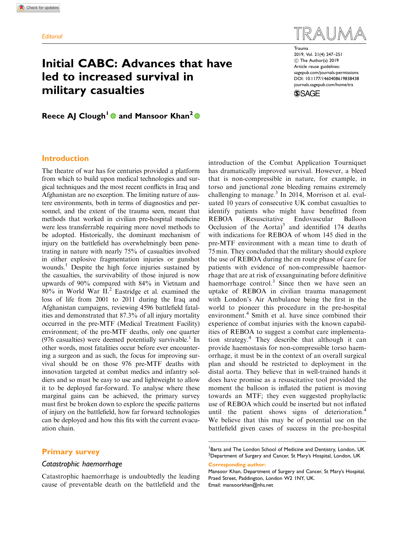# Initial CABC: Advances that have led to increased survival in military casualties

Trauma

2019, Vol. 21(4) 247–251  $©$  The Author(s) 2019 Article reuse guidelines: [sagepub.com/journals-permissions](https://uk.sagepub.com/en-gb/journals-permissions) DOI: [10.1177/1460408619838438](https://doi.org/10.1177/1460408619838438) <journals.sagepub.com/home/tra>

**SSAGE** 

Reece AJ Clough<sup>1</sup> and Mansoor Khan<sup>2</sup>  $\Phi$ 

# Introduction

The theatre of war has for centuries provided a platform from which to build upon medical technologies and surgical techniques and the most recent conflicts in Iraq and Afghanistan are no exception. The limiting nature of austere environments, both in terms of diagnostics and personnel, and the extent of the trauma seen, meant that methods that worked in civilian pre-hospital medicine were less transferrable requiring more novel methods to be adopted. Historically, the dominant mechanism of injury on the battlefield has overwhelmingly been penetrating in nature with nearly 75% of casualties involved in either explosive fragmentation injuries or gunshot wounds.<sup>1</sup> Despite the high force injuries sustained by the casualties, the survivability of those injured is now upwards of 90% compared with 84% in Vietnam and 80% in World War II.2 Eastridge et al. examined the loss of life from 2001 to 2011 during the Iraq and Afghanistan campaigns, reviewing 4596 battlefield fatalities and demonstrated that 87.3% of all injury mortality occurred in the pre-MTF (Medical Treatment Facility) environment; of the pre-MTF deaths, only one quarter (976 casualties) were deemed potentially survivable.<sup>1</sup> In other words, most fatalities occur before ever encountering a surgeon and as such, the focus for improving survival should be on those 976 pre-MTF deaths with innovation targeted at combat medics and infantry soldiers and so must be easy to use and lightweight to allow it to be deployed far-forward. To analyse where these marginal gains can be achieved, the primary survey must first be broken down to explore the specific patterns of injury on the battlefield, how far forward technologies can be deployed and how this fits with the current evacuation chain.

# Primary survey

# Catastrophic haemorrhage

Catastrophic haemorrhage is undoubtedly the leading cause of preventable death on the battlefield and the introduction of the Combat Application Tourniquet has dramatically improved survival. However, a bleed that is non-compressible in nature, for example, in torso and junctional zone bleeding remains extremely challenging to manage.<sup>3</sup> In 2014, Morrison et al. evaluated 10 years of consecutive UK combat casualties to identify patients who might have benefitted from REBOA (Resuscitative Endovascular Balloon Occlusion of the Aorta)<sup>3</sup> and identified 174 deaths with indications for REBOA of whom 145 died in the pre-MTF environment with a mean time to death of 75 min. They concluded that the military should explore the use of REBOA during the en route phase of care for patients with evidence of non-compressible haemorrhage that are at risk of exsanguinating before definitive haemorrhage control.<sup>3</sup> Since then we have seen an uptake of REBOA in civilian trauma management with London's Air Ambulance being the first in the world to pioneer this procedure in the pre-hospital environment.<sup>4</sup> Smith et al. have since combined their experience of combat injuries with the known capabilities of REBOA to suggest a combat care implementation strategy.<sup>4</sup> They describe that although it can provide haemostasis for non-compressible torso haemorrhage, it must be in the context of an overall surgical plan and should be restricted to deployment in the distal aorta. They believe that in well-trained hands it does have promise as a resuscitative tool provided the moment the balloon is inflated the patient is moving towards an MTF; they even suggested prophylactic use of REBOA which could be inserted but not inflated until the patient shows signs of deterioration.<sup>4</sup> We believe that this may be of potential use on the battlefield given cases of success in the pre-hospital

<sup>&</sup>lt;sup>1</sup>Barts and The London School of Medicine and Dentistry, London, UK  $^{2}$ Department of Surgery and Cancer, St Mary's Hospital, London, UK Corresponding author:

Mansoor Khan, Department of Surgery and Cancer, St Mary's Hospital, Praed Street, Paddington, London W2 1NY, UK. Email: mansoorkhan@nhs.net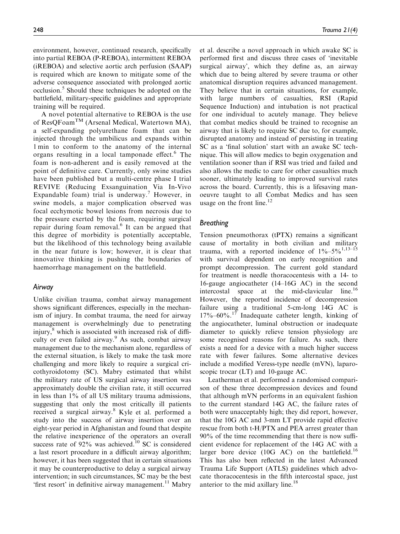environment, however, continued research, specifically into partial REBOA (P-REBOA), intermittent REBOA (iREBOA) and selective aortic arch perfusion (SAAP) is required which are known to mitigate some of the adverse consequence associated with prolonged aortic occlusion.<sup>5</sup> Should these techniques be adopted on the battlefield, military-specific guidelines and appropriate training will be required.

A novel potential alternative to REBOA is the use of ResQFoamTM (Arsenal Medical, Watertown MA), a self-expanding polyurethane foam that can be injected through the umbilicus and expands within 1 min to conform to the anatomy of the internal organs resulting in a local tamponade effect.<sup>6</sup> The foam is non-adherent and is easily removed at the point of definitive care. Currently, only swine studies have been published but a multi-centre phase I trial REVIVE (Reducing Exsanguination Via In-Vivo Expandable foam) trial is underway.<sup>7</sup> However, in swine models, a major complication observed was focal ecchymotic bowel lesions from necrosis due to the pressure exerted by the foam, requiring surgical repair during foam removal.<sup>6</sup> It can be argued that this degree of morbidity is potentially acceptable, but the likelihood of this technology being available in the near future is low; however, it is clear that innovative thinking is pushing the boundaries of haemorrhage management on the battlefield.

## Airway

Unlike civilian trauma, combat airway management shows significant differences, especially in the mechanism of injury. In combat trauma, the need for airway management is overwhelmingly due to penetrating injury, $8$  which is associated with increased risk of difficulty or even failed airway.<sup>9</sup> As such, combat airway management due to the mechanism alone, regardless of the external situation, is likely to make the task more challenging and more likely to require a surgical cricothyroidotomy (SC). Mabry estimated that whilst the military rate of US surgical airway insertion was approximately double the civilian rate, it still occurred in less than 1% of all US military trauma admissions, suggesting that only the most critically ill patients received a surgical airway.<sup>8</sup> Kyle et al. performed a study into the success of airway insertion over an eight-year period in Afghanistan and found that despite the relative inexperience of the operators an overall success rate of  $92\%$  was achieved.<sup>10</sup> SC is considered a last resort procedure in a difficult airway algorithm; however, it has been suggested that in certain situations it may be counterproductive to delay a surgical airway intervention; in such circumstances, SC may be the best 'first resort' in definitive airway management. $^{11}$  Mabry et al. describe a novel approach in which awake SC is performed first and discuss three cases of 'inevitable surgical airway', which they define as, an airway which due to being altered by severe trauma or other anatomical disruption requires advanced management. They believe that in certain situations, for example, with large numbers of casualties, RSI (Rapid Sequence Induction) and intubation is not practical for one individual to acutely manage. They believe that combat medics should be trained to recognise an airway that is likely to require SC due to, for example, disrupted anatomy and instead of persisting in treating SC as a 'final solution' start with an awake SC technique. This will allow medics to begin oxygenation and ventilation sooner than if RSI was tried and failed and also allows the medic to care for other casualties much sooner, ultimately leading to improved survival rates across the board. Currently, this is a lifesaving manoeuvre taught to all Combat Medics and has seen usage on the front line.<sup>12</sup>

# **Breathing**

Tension pneumothorax (tPTX) remains a significant cause of mortality in both civilian and military trauma, with a reported incidence of  $1\% - 5\%$ <sup>1,13–15</sup> with survival dependent on early recognition and prompt decompression. The current gold standard for treatment is needle thoracocentesis with a 14- to 16-gauge angiocatheter (14–16G AC) in the second intercostal space at the mid-clavicular line.<sup>16</sup> However, the reported incidence of decompression failure using a traditional 5-cm-long 14G AC is  $17\%$ –60%.<sup>17</sup> Inadequate catheter length, kinking of the angiocatheter, luminal obstruction or inadequate diameter to quickly relieve tension physiology are some recognised reasons for failure. As such, there exists a need for a device with a much higher success rate with fewer failures. Some alternative devices include a modified Veress-type needle (mVN), laparoscopic trocar (LT) and 10-gauge AC.

Leatherman et al. performed a randomised comparison of these three decompression devices and found that although mVN performs in an equivalent fashion to the current standard 14G AC, the failure rates of both were unacceptably high; they did report, however, that the 10G AC and 3-mm LT provide rapid effective rescue from both t-H/PTX and PEA arrest greater than 90% of the time recommending that there is now sufficient evidence for replacement of the 14G AC with a larger bore device  $(10G \text{ AC})$  on the battlefield.<sup>16</sup> This has also been reflected in the latest Advanced Trauma Life Support (ATLS) guidelines which advocate thoracocentesis in the fifth intercostal space, just anterior to the mid axillary line. $18$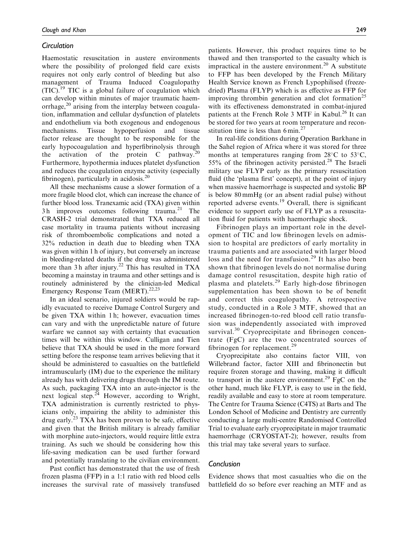# **Circulation**

Haemostatic resuscitation in austere environments where the possibility of prolonged field care exists requires not only early control of bleeding but also management of Trauma Induced Coagulopathy  $(TIC).<sup>19</sup> TIC$  is a global failure of coagulation which can develop within minutes of major traumatic haemorrhage, $^{20}$  arising from the interplay between coagulation, inflammation and cellular dysfunction of platelets and endothelium via both exogenous and endogenous mechanisms. Tissue hypoperfusion and tissue factor release are thought to be responsible for the early hypocoagulation and hyperfibrinolysis through the activation of the protein C pathway.<sup>20</sup> Furthermore, hypothermia induces platelet dysfunction and reduces the coagulation enzyme activity (especially fibrinogen), particularly in acidosis. $^{20}$ 

All these mechanisms cause a slower formation of a more fragile blood clot, which can increase the chance of further blood loss. Tranexamic acid (TXA) given within  $3 h$  improves outcomes following trauma.<sup>21</sup> The CRASH-2 trial demonstrated that TXA reduced all case mortality in trauma patients without increasing risk of thromboembolic complications and noted a 32% reduction in death due to bleeding when TXA was given within 1 h of injury, but conversely an increase in bleeding-related deaths if the drug was administered more than 3 h after injury.<sup>22</sup> This has resulted in TXA becoming a mainstay in trauma and other settings and is routinely administered by the clinician-led Medical Emergency Response Team (MERT).<sup>22,23</sup>

In an ideal scenario, injured soldiers would be rapidly evacuated to receive Damage Control Surgery and be given TXA within 1 h; however, evacuation times can vary and with the unpredictable nature of future warfare we cannot say with certainty that evacuation times will be within this window. Culligan and Tien believe that TXA should be used in the more forward setting before the response team arrives believing that it should be administered to casualties on the battlefield intramuscularly (IM) due to the experience the military already has with delivering drugs through the IM route. As such, packaging TXA into an auto-injector is the next logical step. $24$  However, according to Wright, TXA administration is currently restricted to physicians only, impairing the ability to administer this drug early.<sup>23</sup> TXA has been proven to be safe, effective and given that the British military is already familiar with morphine auto-injectors, would require little extra training. As such we should be considering how this life-saving medication can be used further forward and potentially translating to the civilian environment.

Past conflict has demonstrated that the use of fresh frozen plasma (FFP) in a 1:1 ratio with red blood cells increases the survival rate of massively transfused patients. However, this product requires time to be thawed and then transported to the casualty which is impractical in the austere environment.<sup>20</sup> A substitute to FFP has been developed by the French Military Health Service known as French Lypophilised (freezedried) Plasma (FLYP) which is as effective as FFP for improving thrombin generation and clot formation<sup>25</sup> with its effectiveness demonstrated in combat-injured patients at the French Role 3 MTF in Kabul.<sup>26</sup> It can be stored for two years at room temperature and reconstitution time is less than  $6 \text{ min.}^{27}$ 

In real-life conditions during Operation Barkhane in the Sahel region of Africa where it was stored for three months at temperatures ranging from  $28^{\circ}$ C to  $53^{\circ}$ C, 55% of the fibrinogen activity persisted.<sup>28</sup> The Israeli military use FLYP early as the primary resuscitation fluid (the 'plasma first' concept), at the point of injury when massive haemorrhage is suspected and systolic BP is below 80 mmHg (or an absent radial pulse) without reported adverse events.<sup>19</sup> Overall, there is significant evidence to support early use of FLYP as a resuscitation fluid for patients with haemorrhagic shock.

Fibrinogen plays an important role in the development of TIC and low fibrinogen levels on admission to hospital are predictors of early mortality in trauma patients and are associated with larger blood loss and the need for transfusion.<sup>29</sup> It has also been shown that fibrinogen levels do not normalise during damage control resuscitation, despite high ratio of plasma and platelets.<sup>29</sup> Early high-dose fibrinogen supplementation has been shown to be of benefit and correct this coagulopathy. A retrospective study, conducted in a Role 3 MTF, showed that an increased fibrinogen-to-red blood cell ratio transfusion was independently associated with improved survival.<sup>30</sup> Cryoprecipitate and fibrinogen concentrate (FgC) are the two concentrated sources of fibrinogen for replacement.<sup>29</sup>

Cryoprecipitate also contains factor VIII, von Willebrand factor, factor XIII and fibrinonectin but require frozen storage and thawing, making it difficult to transport in the austere environment.<sup>29</sup> FgC on the other hand, much like FLYP, is easy to use in the field, readily available and easy to store at room temperature. The Centre for Trauma Science (C4TS) at Barts and The London School of Medicine and Dentistry are currently conducting a large multi-centre Randomised Controlled Trial to evaluate early cryoprecipitate in major traumatic haemorrhage (CRYOSTAT-2); however, results from this trial may take several years to surface.

## Conclusion

Evidence shows that most casualties who die on the battlefield do so before ever reaching an MTF and as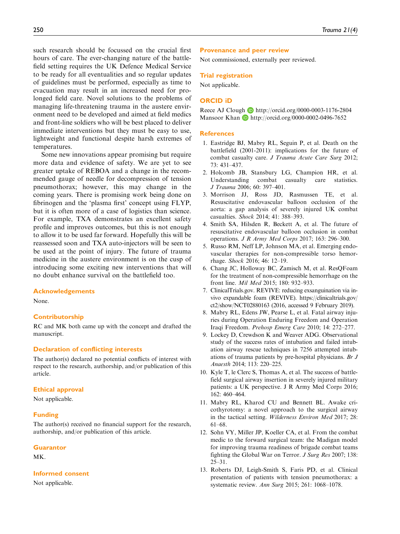such research should be focussed on the crucial first hours of care. The ever-changing nature of the battlefield setting requires the UK Defence Medical Service to be ready for all eventualities and so regular updates of guidelines must be performed, especially as time to evacuation may result in an increased need for prolonged field care. Novel solutions to the problems of managing life-threatening trauma in the austere environment need to be developed and aimed at field medics and front-line soldiers who will be best placed to deliver immediate interventions but they must be easy to use, lightweight and functional despite harsh extremes of temperatures.

Some new innovations appear promising but require more data and evidence of safety. We are yet to see greater uptake of REBOA and a change in the recommended gauge of needle for decompression of tension pneumothorax; however, this may change in the coming years. There is promising work being done on fibrinogen and the 'plasma first' concept using FLYP, but it is often more of a case of logistics than science. For example, TXA demonstrates an excellent safety profile and improves outcomes, but this is not enough to allow it to be used far forward. Hopefully this will be reassessed soon and TXA auto-injectors will be seen to be used at the point of injury. The future of trauma medicine in the austere environment is on the cusp of introducing some exciting new interventions that will no doubt enhance survival on the battlefield too.

#### Acknowledgements

None.

## Contributorship

RC and MK both came up with the concept and drafted the manuscript.

#### Declaration of conflicting interests

The author(s) declared no potential conflicts of interest with respect to the research, authorship, and/or publication of this article.

### Ethical approval

Not applicable.

#### Funding

The author(s) received no financial support for the research, authorship, and/or publication of this article.

#### **Guarantor**

MK.

# Informed consent

Not applicable.

#### Provenance and peer review

Not commissioned, externally peer reviewed.

#### Trial registration

Not applicable.

#### ORCID iD

Reece AJ Clough http://orcid.org/0000-0003-1176-2804 Mansoor Khan D http://orcid.org/0000-0002-0496-7652

#### **References**

- 1. Eastridge BJ, Mabry RL, Seguin P, et al. Death on the battlefield (2001-2011): implications for the future of combat casualty care. J Trauma Acute Care Surg 2012; 73: 431–437.
- 2. Holcomb JB, Stansbury LG, Champion HR, et al. Understanding combat casualty care statistics. J Trauma 2006; 60: 397–401.
- 3. Morrison JJ, Ross JD, Rasmussen TE, et al. Resuscitative endovascular balloon occlusion of the aorta: a gap analysis of severely injured UK combat casualties. Shock 2014; 41: 388–393.
- 4. Smith SA, Hilsden R, Beckett A, et al. The future of resuscitative endovascular balloon occlusion in combat operations. J R Army Med Corps 2017; 163: 296–300.
- 5. Russo RM, Neff LP, Johnson MA, et al. Emerging endovascular therapies for non-compressible torso hemorrhage. Shock 2016; 46: 12–19.
- 6. Chang JC, Holloway BC, Zamisch M, et al. ResQFoam for the treatment of non-compressible hemorrhage on the front line. Mil Med 2015; 180: 932–933.
- 7. ClinicalTrials.gov. REVIVE: reducing exsanguination via invivo expandable foam (REVIVE). [https://clinicaltrials.gov/](https://clinicaltrials.gov/ct2/show/NCT02880163) [ct2/show/NCT02880163](https://clinicaltrials.gov/ct2/show/NCT02880163) (2016, accessed 9 February 2019).
- 8. Mabry RL, Edens JW, Pearse L, et al. Fatal airway injuries during Operation Enduring Freedom and Operation Iraqi Freedom. Prehosp Emerg Care 2010; 14: 272–277.
- 9. Lockey D, Crewdson K and Weaver ADG. Observational study of the success rates of intubation and failed intubation airway rescue techniques in 7256 attempted intubations of trauma patients by pre-hospital physicians. Br J Anaesth 2014; 113: 220–225.
- 10. Kyle T, le Clerc S, Thomas A, et al. The success of battlefield surgical airway insertion in severely injured military patients: a UK perspective. J R Army Med Corps 2016; 162: 460–464.
- 11. Mabry RL, Kharod CU and Bennett BL. Awake cricothyrotomy: a novel approach to the surgical airway in the tactical setting. Wilderness Environ Med 2017; 28: 61–68.
- 12. Sohn VY, Miller JP, Koeller CA, et al. From the combat medic to the forward surgical team: the Madigan model for improving trauma readiness of brigade combat teams fighting the Global War on Terror. J Surg Res 2007; 138: 25–31.
- 13. Roberts DJ, Leigh-Smith S, Faris PD, et al. Clinical presentation of patients with tension pneumothorax: a systematic review. Ann Surg 2015; 261: 1068–1078.